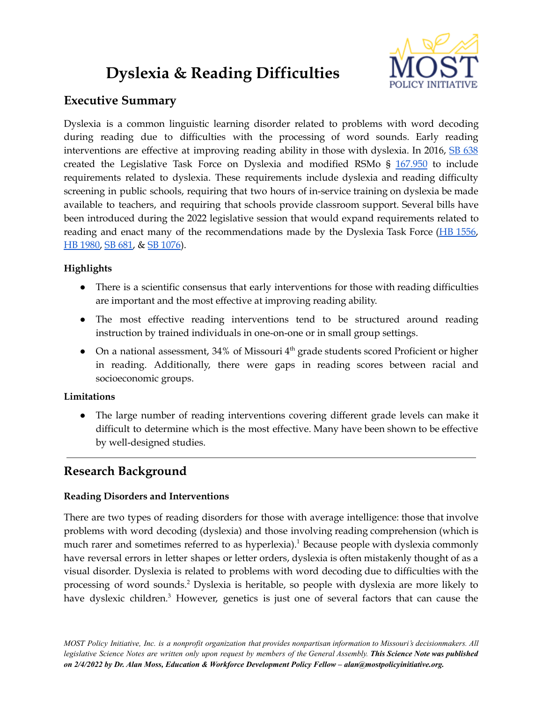# **Dyslexia & Reading Difficulties**



## **Executive Summary**

Dyslexia is a common linguistic learning disorder related to problems with word decoding during reading due to difficulties with the processing of word sounds. Early reading interventions are effective at improving reading ability in those with dyslexia. In 2016, SB [638](https://www.senate.mo.gov/16info/BTS_Web/Bill.aspx?SessionType=R&BillID=22246585) created the Legislative Task Force on Dyslexia and modified RSMo § [167.950](https://revisor.mo.gov/main/OneSection.aspx?section=167.950&bid=33349&hl=167.950%u2044) to include requirements related to dyslexia. These requirements include dyslexia and reading difficulty screening in public schools, requiring that two hours of in-service training on dyslexia be made available to teachers, and requiring that schools provide classroom support. Several bills have been introduced during the 2022 legislative session that would expand requirements related to reading and enact many of the recommendations made by the Dyslexia Task Force (HB [1556,](https://www.house.mo.gov/Bill.aspx?bill=HB1556&year=2022&code=R) HB [1980,](https://www.house.mo.gov/Bill.aspx?bill=HB1980&year=2022&code=R) SB [681,](https://www.senate.mo.gov/22info/BTS_Web/Bill.aspx?SessionType=R&BillID=71259862) & SB [1076\)](https://www.senate.mo.gov/22info/BTS_Web/Bill.aspx?SessionType=R&BillID=73755338).

### **Highlights**

- There is a scientific consensus that early interventions for those with reading difficulties are important and the most effective at improving reading ability.
- The most effective reading interventions tend to be structured around reading instruction by trained individuals in one-on-one or in small group settings.
- On a national assessment, 34% of Missouri  $4<sup>th</sup>$  grade students scored Proficient or higher in reading. Additionally, there were gaps in reading scores between racial and socioeconomic groups.

#### **Limitations**

● The large number of reading interventions covering different grade levels can make it difficult to determine which is the most effective. Many have been shown to be effective by well-designed studies.

## **Research Background**

#### **Reading Disorders and Interventions**

There are two types of reading disorders for those with average intelligence: those that involve problems with word decoding (dyslexia) and those involving reading comprehension (which is much rarer and sometimes referred to as hyperlexia).<sup>1</sup> Because people with dyslexia commonly have reversal errors in letter shapes or letter orders, dyslexia is often mistakenly thought of as a visual disorder. Dyslexia is related to problems with word decoding due to difficulties with the processing of word sounds. <sup>2</sup> Dyslexia is heritable, so people with dyslexia are more likely to have dyslexic children. <sup>3</sup> However, genetics is just one of several factors that can cause the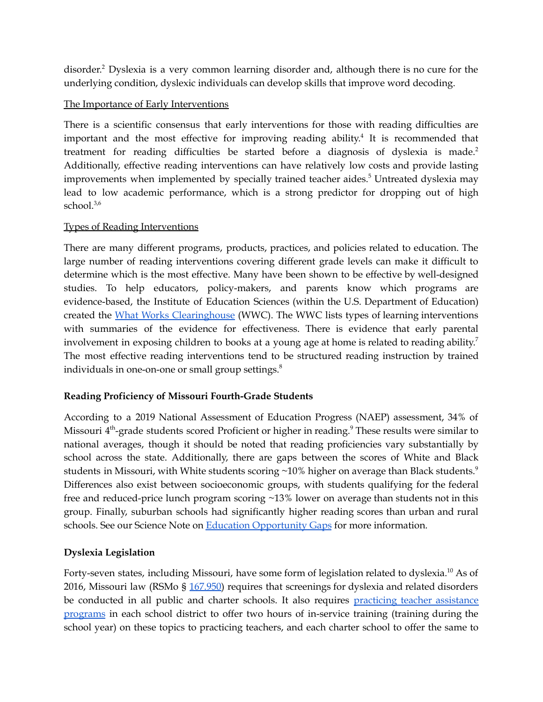disorder. <sup>2</sup> Dyslexia is a very common learning disorder and, although there is no cure for the underlying condition, dyslexic individuals can develop skills that improve word decoding.

#### The Importance of Early Interventions

There is a scientific consensus that early interventions for those with reading difficulties are important and the most effective for improving reading ability. 4 It is recommended that treatment for reading difficulties be started before a diagnosis of dyslexia is made. 2 Additionally, effective reading interventions can have relatively low costs and provide lasting improvements when implemented by specially trained teacher aides. <sup>5</sup> Untreated dyslexia may lead to low academic performance, which is a strong predictor for dropping out of high school. 3,6

#### Types of Reading Interventions

There are many different programs, products, practices, and policies related to education. The large number of reading interventions covering different grade levels can make it difficult to determine which is the most effective. Many have been shown to be effective by well-designed studies. To help educators, policy-makers, and parents know which programs are evidence-based, the Institute of Education Sciences (within the U.S. Department of Education) created the What Works [Clearinghouse](https://ies.ed.gov/ncee/wwc/FWW/Results?filters=,Literacy) (WWC). The WWC lists types of learning interventions with summaries of the evidence for effectiveness. There is evidence that early parental involvement in exposing children to books at a young age at home is related to reading ability. 7 The most effective reading interventions tend to be structured reading instruction by trained individuals in one-on-one or small group settings.<sup>8</sup>

#### **Reading Proficiency of Missouri Fourth-Grade Students**

According to a 2019 National Assessment of Education Progress (NAEP) assessment, 34% of Missouri 4<sup>th</sup>-grade students scored Proficient or higher in reading.<sup>9</sup> These results were similar to national averages, though it should be noted that reading proficiencies vary substantially by school across the state. Additionally, there are gaps between the scores of White and Black students in Missouri, with White students scoring ~10% higher on average than Black students. $^9$ Differences also exist between socioeconomic groups, with students qualifying for the federal free and reduced-price lunch program scoring ~13% lower on average than students not in this group. Finally, suburban schools had significantly higher reading scores than urban and rural schools. See our Science Note on Education [Opportunity](https://mostpolicyinitiative.org/science-note/education-opportunity-gaps/) Gaps for more information.

#### **Dyslexia Legislation**

Forty-seven states, including Missouri, have some form of legislation related to dyslexia.<sup>10</sup> As of 2016, Missouri law (RSMo § [167.950\)](https://revisor.mo.gov/main/OneSection.aspx?section=167.950&bid=33349&hl=167.950%u2044) requires that screenings for dyslexia and related disorders be conducted in all public and charter schools. It also requires [practicing](https://revisor.mo.gov/main/OneSection.aspx?section=168.400) teacher assistance [programs](https://revisor.mo.gov/main/OneSection.aspx?section=168.400) in each school district to offer two hours of in-service training (training during the school year) on these topics to practicing teachers, and each charter school to offer the same to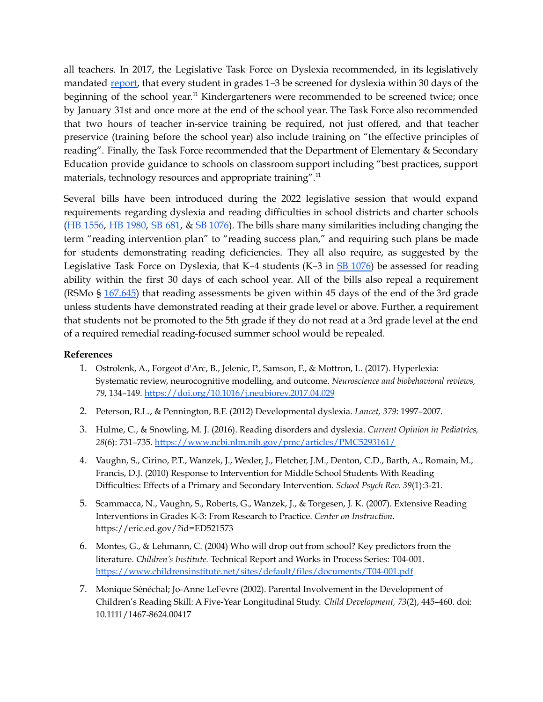all teachers. In 2017, the Legislative Task Force on Dyslexia recommended, in its legislatively mandated [report,](https://dese.mo.gov/media/pdf/october-2017-update-dyslexia-task-force) that every student in grades 1-3 be screened for dyslexia within 30 days of the beginning of the school year.<sup>11</sup> Kindergarteners were recommended to be screened twice; once by January 31st and once more at the end of the school year. The Task Force also recommended that two hours of teacher in-service training be required, not just offered, and that teacher preservice (training before the school year) also include training on "the effective principles of reading". Finally, the Task Force recommended that the Department of Elementary & Secondary Education provide guidance to schools on classroom support including "best practices, support materials, technology resources and appropriate training".<sup>11</sup>

Several bills have been introduced during the 2022 legislative session that would expand requirements regarding dyslexia and reading difficulties in school districts and charter schools (HB [1556](https://www.house.mo.gov/Bill.aspx?bill=HB1556&year=2022&code=R), HB [1980,](https://www.house.mo.gov/Bill.aspx?bill=HB1980&year=2022&code=R) SB [681](https://www.senate.mo.gov/22info/BTS_Web/Bill.aspx?SessionType=R&BillID=71259862), & SB [1076](https://www.senate.mo.gov/22info/BTS_Web/Bill.aspx?SessionType=R&BillID=73755338)). The bills share many similarities including changing the term "reading intervention plan" to "reading success plan," and requiring such plans be made for students demonstrating reading deficiencies. They all also require, as suggested by the Legislative Task Force on Dyslexia, that K–4 students (K–3 in  $SB$  [1076](https://www.senate.mo.gov/22info/BTS_Web/Bill.aspx?SessionType=R&BillID=73755338)) be assessed for reading ability within the first 30 days of each school year. All of the bills also repeal a requirement (RSMo § [167.645](https://revisor.mo.gov/main/OneSection.aspx?section=167.645&bid=8391&hl=167.645%u2044)) that reading assessments be given within 45 days of the end of the 3rd grade unless students have demonstrated reading at their grade level or above. Further, a requirement that students not be promoted to the 5th grade if they do not read at a 3rd grade level at the end of a required remedial reading-focused summer school would be repealed.

#### **References**

- 1. Ostrolenk, A., Forgeot d'Arc, B., Jelenic, P., Samson, F., & Mottron, L. (2017). Hyperlexia: Systematic review, neurocognitive modelling, and outcome. *Neuroscience and biobehavioral reviews, 79*, 134–149. <https://doi.org/10.1016/j.neubiorev.2017.04.029>
- 2. Peterson, R.L., & Pennington, B.F. (2012) Developmental dyslexia. *Lancet, 379*: 1997–2007.
- 3. Hulme, C., & Snowling, M. J. (2016). Reading disorders and dyslexia. *Current Opinion in Pediatrics, 28*(6): 731–735. <https://www.ncbi.nlm.nih.gov/pmc/articles/PMC5293161/>
- 4. Vaughn, S., Cirino, P.T., Wanzek, J., Wexler, J., Fletcher, J.M., Denton, C.D., Barth, A., Romain, M., Francis, D.J. (2010) Response to Intervention for Middle School Students With Reading Difficulties: Effects of a Primary and Secondary Intervention. *School Psych Rev. 39*(1):3-21.
- 5. Scammacca, N., Vaughn, S., Roberts, G., Wanzek, J., & Torgesen, J. K. (2007). Extensive Reading Interventions in Grades K-3: From Research to Practice. *Center on Instruction.* https://eric.ed.gov/?id=ED521573
- 6. Montes, G., & Lehmann, C. (2004) Who will drop out from school? Key predictors from the literature. *Children's Institute.* Technical Report and Works in Process Series: T04-001. <https://www.childrensinstitute.net/sites/default/files/documents/T04-001.pdf>
- 7. Monique Sénéchal; Jo-Anne LeFevre (2002). Parental Involvement in the Development of Children's Reading Skill: A Five-Year Longitudinal Study. *Child Development, 73*(2), 445–460. doi: 10.1111/1467-8624.00417